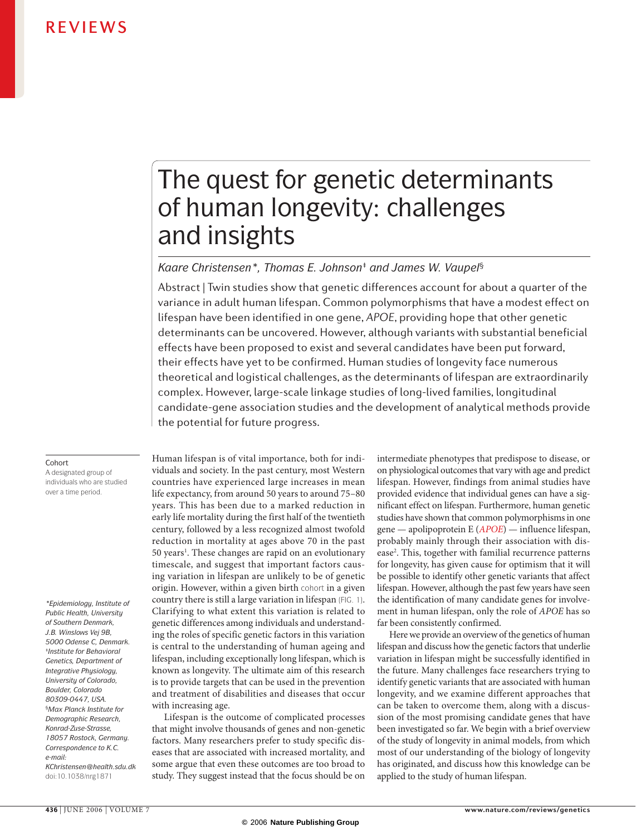# The quest for genetic determinants of human longevity: challenges and insights

*Kaare Christensen\*, Thomas E. Johnson‡ and James W. Vaupel§*

Abstract | Twin studies show that genetic differences account for about a quarter of the variance in adult human lifespan. Common polymorphisms that have a modest effect on lifespan have been identified in one gene, APOE, providing hope that other genetic determinants can be uncovered. However, although variants with substantial beneficial effects have been proposed to exist and several candidates have been put forward, their effects have yet to be confirmed. Human studies of longevity face numerous theoretical and logistical challenges, as the determinants of lifespan are extraordinarily complex. However, large-scale linkage studies of long-lived families, longitudinal candidate-gene association studies and the development of analytical methods provide the potential for future progress.

#### **Cohort**

A designated group of individuals who are studied over a time period.

*\*Epidemiology, Institute of Public Health, University of Southern Denmark, J.B. Winslows Vej 9B, 5000 Odense C, Denmark. ‡Institute for Behavioral Genetics, Department of Integrative Physiology, University of Colorado, Boulder, Colorado 80309-0447, USA. §Max Planck Institute for Demographic Research, Konrad-Zuse-Strasse, 18057 Rostock, Germany. Correspondence to K.C. e-mail: KChristensen@health.sdu.dk* doi:10.1038/nrg1871

Human lifespan is of vital importance, both for individuals and society. In the past century, most Western countries have experienced large increases in mean life expectancy, from around 50 years to around 75–80 years. This has been due to a marked reduction in early life mortality during the first half of the twentieth century, followed by a less recognized almost twofold reduction in mortality at ages above 70 in the past 50 years<sup>1</sup>. These changes are rapid on an evolutionary timescale, and suggest that important factors causing variation in lifespan are unlikely to be of genetic origin. However, within a given birth cohort in a given country there is still a large variation in lifespan (FIG. 1). Clarifying to what extent this variation is related to genetic differences among individuals and understanding the roles of specific genetic factors in this variation is central to the understanding of human ageing and lifespan, including exceptionally long lifespan, which is known as longevity. The ultimate aim of this research is to provide targets that can be used in the prevention and treatment of disabilities and diseases that occur with increasing age.

Lifespan is the outcome of complicated processes that might involve thousands of genes and non-genetic factors. Many researchers prefer to study specific diseases that are associated with increased mortality, and some argue that even these outcomes are too broad to study. They suggest instead that the focus should be on

intermediate phenotypes that predispose to disease, or on physiological outcomes that vary with age and predict lifespan. However, findings from animal studies have provided evidence that individual genes can have a significant effect on lifespan. Furthermore, human genetic studies have shown that common polymorphisms in one gene — apolipoprotein E (*APOE*) — influence lifespan, probably mainly through their association with disease<sup>2</sup>. This, together with familial recurrence patterns for longevity, has given cause for optimism that it will be possible to identify other genetic variants that affect lifespan. However, although the past few years have seen the identification of many candidate genes for involvement in human lifespan, only the role of *APOE* has so far been consistently confirmed.

Here we provide an overview of the genetics of human lifespan and discuss how the genetic factors that underlie variation in lifespan might be successfully identified in the future. Many challenges face researchers trying to identify genetic variants that are associated with human longevity, and we examine different approaches that can be taken to overcome them, along with a discussion of the most promising candidate genes that have been investigated so far. We begin with a brief overview of the study of longevity in animal models, from which most of our understanding of the biology of longevity has originated, and discuss how this knowledge can be applied to the study of human lifespan.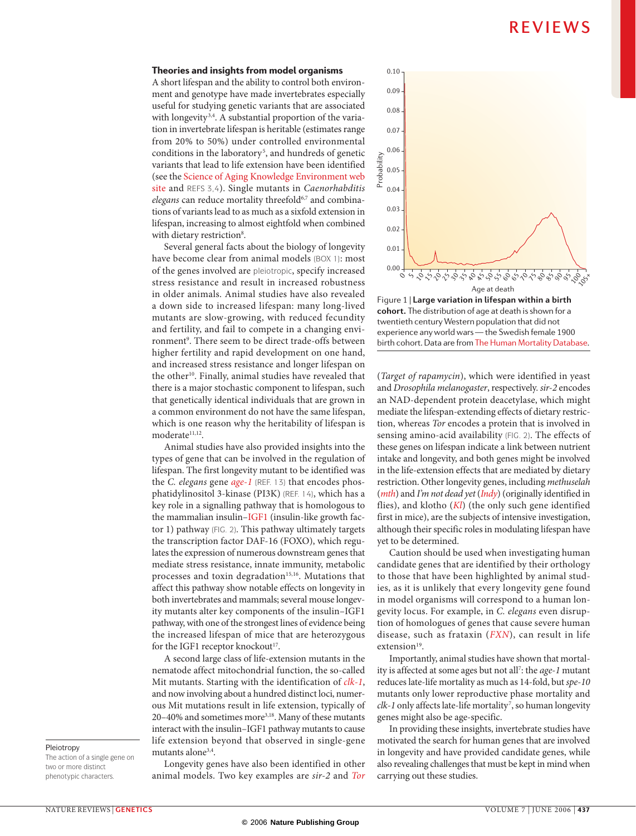### **REVIEWS**

#### Theories and insights from model organisms

A short lifespan and the ability to control both environment and genotype have made invertebrates especially useful for studying genetic variants that are associated with longevity<sup>3,4</sup>. A substantial proportion of the variation in invertebrate lifespan is heritable (estimates range from 20% to 50%) under controlled environmental conditions in the laboratory<sup>5</sup>, and hundreds of genetic variants that lead to life extension have been identified (see the Science of Aging Knowledge Environment web site and REFS 3,4). Single mutants in *Caenorhabditis elegans* can reduce mortality threefold<sup>6,7</sup> and combinations of variants lead to as much as a sixfold extension in lifespan, increasing to almost eightfold when combined with dietary restriction<sup>8</sup>.

Several general facts about the biology of longevity have become clear from animal models (BOX 1): most of the genes involved are pleiotropic, specify increased stress resistance and result in increased robustness in older animals. Animal studies have also revealed a down side to increased lifespan: many long-lived mutants are slow-growing, with reduced fecundity and fertility, and fail to compete in a changing environment9 . There seem to be direct trade-offs between higher fertility and rapid development on one hand, and increased stress resistance and longer lifespan on the other<sup>10</sup>. Finally, animal studies have revealed that there is a major stochastic component to lifespan, such that genetically identical individuals that are grown in a common environment do not have the same lifespan, which is one reason why the heritability of lifespan is moderate<sup>11,12</sup>.

Animal studies have also provided insights into the types of gene that can be involved in the regulation of lifespan. The first longevity mutant to be identified was the *C. elegans* gene *age-1* (REF. 13) that encodes phosphatidylinositol 3-kinase (PI3K) (REF. 14), which has a key role in a signalling pathway that is homologous to the mammalian insulin–IGF1 (insulin-like growth factor 1) pathway (FIG. 2). This pathway ultimately targets the transcription factor DAF-16 (FOXO), which regulates the expression of numerous downstream genes that mediate stress resistance, innate immunity, metabolic processes and toxin degradation<sup>15,16</sup>. Mutations that affect this pathway show notable effects on longevity in both invertebrates and mammals; several mouse longevity mutants alter key components of the insulin–IGF1 pathway, with one of the strongest lines of evidence being the increased lifespan of mice that are heterozygous for the IGF1 receptor knockout<sup>17</sup>.

A second large class of life-extension mutants in the nematode affect mitochondrial function, the so-called Mit mutants. Starting with the identification of *clk-1*, and now involving about a hundred distinct loci, numerous Mit mutations result in life extension, typically of 20-40% and sometimes more<sup>3,18</sup>. Many of these mutants interact with the insulin–IGF1 pathway mutants to cause life extension beyond that observed in single-gene mutants alone<sup>3,4</sup>.

Longevity genes have also been identified in other animal models. Two key examples are *sir-2* and *Tor*



Figure 1 | **Large variation in lifespan within a birth cohort.** The distribution of age at death is shown for a twentieth century Western population that did not experience any world wars — the Swedish female 1900 birth cohort. Data are from The Human Mortality Database.

(*Target of rapamycin*), which were identified in yeast and *Drosophila melanogaster*, respectively. *sir-2* encodes an NAD-dependent protein deacetylase, which might mediate the lifespan-extending effects of dietary restriction, whereas *Tor* encodes a protein that is involved in sensing amino-acid availability (FIG. 2). The effects of these genes on lifespan indicate a link between nutrient intake and longevity, and both genes might be involved in the life-extension effects that are mediated by dietary restriction. Other longevity genes, including *methuselah* (*mth*) and *I'm not dead yet* (*Indy*) (originally identified in flies), and klotho (*Kl*) (the only such gene identified first in mice), are the subjects of intensive investigation, although their specific roles in modulating lifespan have yet to be determined.

Caution should be used when investigating human candidate genes that are identified by their orthology to those that have been highlighted by animal studies, as it is unlikely that every longevity gene found in model organisms will correspond to a human longevity locus. For example, in *C. elegans* even disruption of homologues of genes that cause severe human disease, such as frataxin (*FXN*), can result in life  $extension<sup>19</sup>$ .

Importantly, animal studies have shown that mortality is affected at some ages but not all7 : the *age-1* mutant reduces late-life mortality as much as 14-fold, but *spe-10*  mutants only lower reproductive phase mortality and clk-1 only affects late-life mortality<sup>7</sup>, so human longevity genes might also be age-specific.

In providing these insights, invertebrate studies have motivated the search for human genes that are involved in longevity and have provided candidate genes, while also revealing challenges that must be kept in mind when carrying out these studies.

#### Pleiotropy

The action of a single gene on two or more distinct phenotypic characters.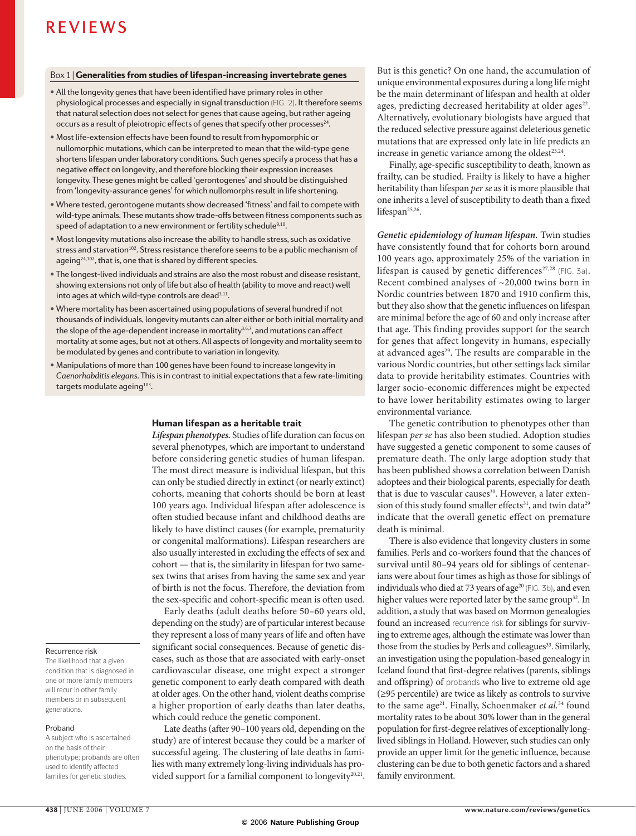## REVIEWS

#### Box 1 | Generalities from studies of lifespan-increasing invertebrate genes

- All the longevity genes that have been identified have primary roles in other physiological processes and especially in signal transduction (FIG. 2). It therefore seems that natural selection does not select for genes that cause ageing, but rather ageing occurs as a result of pleiotropic effects of genes that specify other processes<sup>24</sup>.
- Most life-extension effects have been found to result from hypomorphic or nullomorphic mutations, which can be interpreted to mean that the wild-type gene shortens lifespan under laboratory conditions. Such genes specify a process that has a negative effect on longevity, and therefore blocking their expression increases longevity. These genes might be called 'gerontogenes' and should be distinguished from 'longevity-assurance genes' for which nullomorphs result in life shortening.
- Where tested, gerontogene mutants show decreased 'fitness' and fail to compete with wild-type animals. These mutants show trade-offs between fitness components such as speed of adaptation to a new environment or fertility schedule<sup>9,10</sup>.
- Most longevity mutations also increase the ability to handle stress, such as oxidative stress and starvation<sup>102</sup>. Stress resistance therefore seems to be a public mechanism of ageing<sup>24,102</sup>, that is, one that is shared by different species.
- The longest-lived individuals and strains are also the most robust and disease resistant, showing extensions not only of life but also of health (ability to move and react) well into ages at which wild-type controls are dead<sup>3,11</sup>.
- Where mortality has been ascertained using populations of several hundred if not thousands of individuals, longevity mutants can alter either or both initial mortality and the slope of the age-dependent increase in mortality $3,6,7$ , and mutations can affect mortality at some ages, but not at others. All aspects of longevity and mortality seem to be modulated by genes and contribute to variation in longevity.
- Manipulations of more than 100 genes have been found to increase longevity in *Caenorhabditis elegans.* This is in contrast to initial expectations that a few rate-limiting targets modulate ageing<sup>103</sup>.

#### Human lifespan as a heritable trait

*Lifespan phenotypes.* Studies of life duration can focus on several phenotypes, which are important to understand before considering genetic studies of human lifespan. The most direct measure is individual lifespan, but this can only be studied directly in extinct (or nearly extinct) cohorts, meaning that cohorts should be born at least 100 years ago. Individual lifespan after adolescence is often studied because infant and childhood deaths are likely to have distinct causes (for example, prematurity or congenital malformations). Lifespan researchers are also usually interested in excluding the effects of sex and cohort — that is, the similarity in lifespan for two samesex twins that arises from having the same sex and year of birth is not the focus. Therefore, the deviation from the sex-specific and cohort-specific mean is often used.

Early deaths (adult deaths before 50–60 years old, depending on the study) are of particular interest because they represent a loss of many years of life and often have significant social consequences. Because of genetic diseases, such as those that are associated with early-onset cardiovascular disease, one might expect a stronger genetic component to early death compared with death at older ages. On the other hand, violent deaths comprise a higher proportion of early deaths than later deaths, which could reduce the genetic component.

Late deaths (after 90–100 years old, depending on the study) are of interest because they could be a marker of successful ageing. The clustering of late deaths in families with many extremely long-living individuals has provided support for a familial component to longevity<sup>20,21</sup>.

But is this genetic? On one hand, the accumulation of unique environmental exposures during a long life might be the main determinant of lifespan and health at older ages, predicting decreased heritability at older ages<sup>22</sup>. Alternatively, evolutionary biologists have argued that the reduced selective pressure against deleterious genetic mutations that are expressed only late in life predicts an increase in genetic variance among the oldest $23,24$ .

Finally, age-specific susceptibility to death, known as frailty, can be studied. Frailty is likely to have a higher heritability than lifespan *per se* as it is more plausible that one inherits a level of susceptibility to death than a fixed lifespan<sup>25,26</sup>.

*Genetic epidemiology of human lifespan.* Twin studies have consistently found that for cohorts born around 100 years ago, approximately 25% of the variation in lifespan is caused by genetic differences $27,28$  (FIG. 3a). Recent combined analyses of ~20,000 twins born in Nordic countries between 1870 and 1910 confirm this, but they also show that the genetic influences on lifespan are minimal before the age of 60 and only increase after that age. This finding provides support for the search for genes that affect longevity in humans, especially at advanced ages<sup>29</sup>. The results are comparable in the various Nordic countries, but other settings lack similar data to provide heritability estimates. Countries with larger socio-economic differences might be expected to have lower heritability estimates owing to larger environmental variance.

The genetic contribution to phenotypes other than lifespan *per se* has also been studied. Adoption studies have suggested a genetic component to some causes of premature death. The only large adoption study that has been published shows a correlation between Danish adoptees and their biological parents, especially for death that is due to vascular causes<sup>30</sup>. However, a later extension of this study found smaller effects<sup>31</sup>, and twin data<sup>29</sup> indicate that the overall genetic effect on premature death is minimal.

There is also evidence that longevity clusters in some families. Perls and co-workers found that the chances of survival until 80–94 years old for siblings of centenarians were about four times as high as those for siblings of individuals who died at 73 years of age<sup>20</sup> (FIG. 3b), and even higher values were reported later by the same group<sup>32</sup>. In addition, a study that was based on Mormon genealogies found an increased recurrence risk for siblings for surviving to extreme ages, although the estimate was lower than those from the studies by Perls and colleagues<sup>33</sup>. Similarly, an investigation using the population-based genealogy in Iceland found that first-degree relatives (parents, siblings and offspring) of probands who live to extreme old age (≥95 percentile) are twice as likely as controls to survive to the same age<sup>21</sup>. Finally, Schoenmaker et al.<sup>34</sup> found mortality rates to be about 30% lower than in the general population for first-degree relatives of exceptionally longlived siblings in Holland. However, such studies can only provide an upper limit for the genetic influence, because clustering can be due to both genetic factors and a shared family environment.

#### Recurrence risk

The likelihood that a given condition that is diagnosed in one or more family members will recur in other family members or in subsequent generations.

#### Proband

A subject who is ascertained on the basis of their phenotype; probands are often used to identify affected families for genetic studies.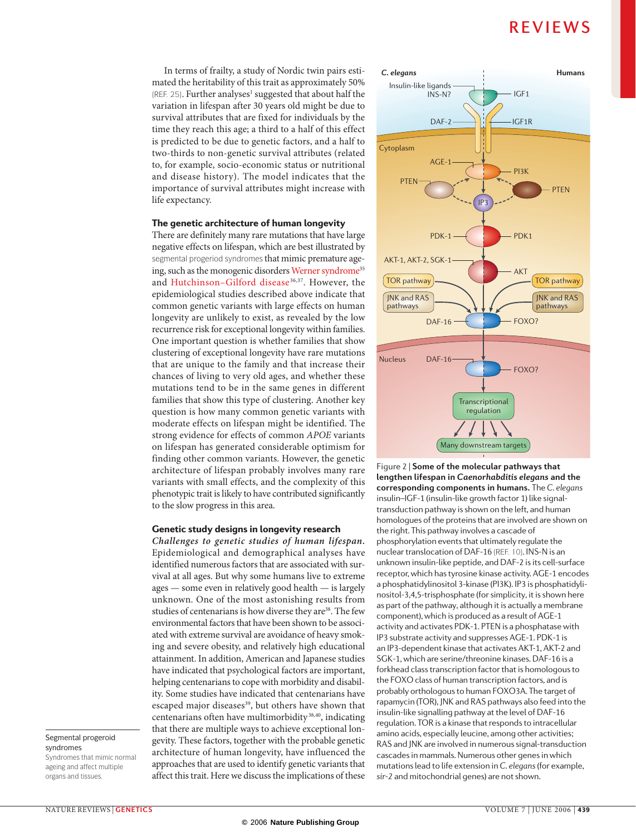### **REVIEWS**

In terms of frailty, a study of Nordic twin pairs estimated the heritability of this trait as approximately 50% (REF. 25). Further analyses<sup>1</sup> suggested that about half the variation in lifespan after 30 years old might be due to survival attributes that are fixed for individuals by the time they reach this age; a third to a half of this effect is predicted to be due to genetic factors, and a half to two-thirds to non-genetic survival attributes (related to, for example, socio-economic status or nutritional and disease history). The model indicates that the importance of survival attributes might increase with life expectancy.

#### The genetic architecture of human longevity

There are definitely many rare mutations that have large negative effects on lifespan, which are best illustrated by segmental progeriod syndromes that mimic premature ageing, such as the monogenic disorders Werner syndrome<sup>35</sup> and Hutchinson-Gilford disease<sup>36,37</sup>. However, the epidemiological studies described above indicate that common genetic variants with large effects on human longevity are unlikely to exist, as revealed by the low recurrence risk for exceptional longevity within families. One important question is whether families that show clustering of exceptional longevity have rare mutations that are unique to the family and that increase their chances of living to very old ages, and whether these mutations tend to be in the same genes in different families that show this type of clustering. Another key question is how many common genetic variants with moderate effects on lifespan might be identified. The strong evidence for effects of common *APOE* variants on lifespan has generated considerable optimism for finding other common variants. However, the genetic architecture of lifespan probably involves many rare variants with small effects, and the complexity of this phenotypic trait is likely to have contributed significantly to the slow progress in this area.

#### Genetic study designs in longevity research

*Challenges to genetic studies of human lifespan.* Epidemiological and demographical analyses have identified numerous factors that are associated with survival at all ages. But why some humans live to extreme ages — some even in relatively good health — is largely unknown. One of the most astonishing results from studies of centenarians is how diverse they are<sup>38</sup>. The few environmental factors that have been shown to be associated with extreme survival are avoidance of heavy smoking and severe obesity, and relatively high educational attainment. In addition, American and Japanese studies have indicated that psychological factors are important, helping centenarians to cope with morbidity and disability. Some studies have indicated that centenarians have escaped major diseases<sup>39</sup>, but others have shown that centenarians often have multimorbidity 38,40, indicating that there are multiple ways to achieve exceptional longevity. These factors, together with the probable genetic architecture of human longevity, have influenced the approaches that are used to identify genetic variants that affect this trait. Here we discuss the implications of these



Figure 2 | **Some of the molecular pathways that lengthen lifespan in** *Caenorhabditis elegans* **and the corresponding components in humans.** The C. elegans insulin–IGF-1 (insulin-like growth factor 1) like signaltransduction pathway is shown on the left, and human homologues of the proteins that are involved are shown on the right. This pathway involves a cascade of phosphorylation events that ultimately regulate the nuclear translocation of DAF-16 (REF. 10). INS-N is an unknown insulin-like peptide, and DAF-2 is its cell-surface receptor, which has tyrosine kinase activity. AGE-1 encodes a phosphatidylinositol 3-kinase (PI3K). IP3 is phosphatidylinositol-3,4,5-trisphosphate (for simplicity, it is shown here as part of the pathway, although it is actually a membrane component), which is produced as a result of AGE-1 activity and activates PDK-1. PTEN is a phosphatase with IP3 substrate activity and suppresses AGE-1. PDK-1 is an IP3-dependent kinase that activates AKT-1, AKT-2 and SGK-1, which are serine/threonine kinases. DAF-16 is a forkhead class transcription factor that is homologous to the FOXO class of human transcription factors, and is probably orthologous to human FOXO3A. The target of rapamycin (TOR), JNK and RAS pathways also feed into the insulin-like signalling pathway at the level of DAF-16 regulation. TOR is a kinase that responds to intracellular amino acids, especially leucine, among other activities; RAS and JNK are involved in numerous signal-transduction cascades in mammals. Numerous other genes in which mutations lead to life extension in C. elegans (for example, sir-2 and mitochondrial genes) are not shown.

Segmental progeroid syndromes Syndromes that mimic normal ageing and affect multiple organs and tissues.